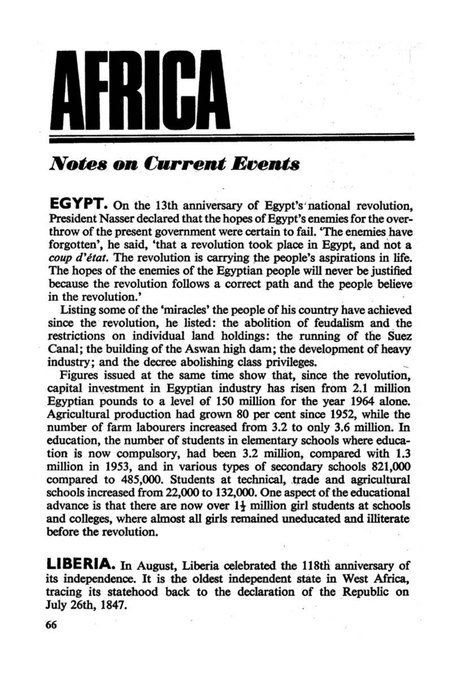

## *Notes* OD *Current* Events

**EGYPT. On** the 13th anniversary of Egypt's'national revolution. President Nasser declared that the hopes of Egypt's enemies for the overthrow of the present government were certain to fail. 'The enemies have forgotten', he said, 'that a revolution took place in Egypt, and not a *coup d'état*. The revolution is carrying the people's aspirations in life. The hopes of the enemies of the Egyptian people will never be justified because the revolution follows a correct path and the people believe in the revolution.'

Listing some of the 'miracles' the people of his country have achieved since the revolution, he listed: the abolition of feudalism and the restrictions on individual iand holdings: the running of the Suez Canal; the building of the Aswan high dam; the development of heavy industry; and the decree abolishing class privileges. \_

Figures issued at the same time show that, since the revolution, capital inyestment in Egyptian industry has risen from 2.1 million Egyptian pounds to a level of 150 million for the year 1964 alone. Agricultural production had grown 80 per cent since 1952, while the number of farm labourers increased from 3.2 to only 3.6 million. In education, the number of students in elementary schools where education is now compulsory, had been 3.2 million, compared with 1.3 million in 1953, and in various types of secondary schools 821,000 compared to 485,000. Students at technical, trade and agricultural schools increased from 22,000 to 132,000. One aspect of the educational advance is that there are now over  $1\frac{1}{4}$  million girl students at schools and colleges, where almost all girls remained uneducated and illiterate before the revolution.

LIBERIA. In August, Liberia celebrated the 118th anniversary of its independence. It is the oldest independent state in West Africa, tracing its statehood back to the declaration of the Republic on July 26th, 1847.

66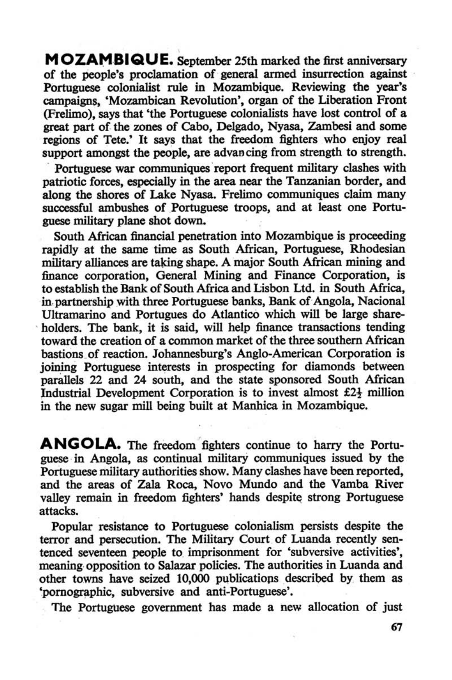MOZAMBIQUE. September 25th marked the first anniversary of the people's proclamation of general armed insurrection against Portuguese colonialist rule in Mozambique. Reviewing the year's campaigns, 'Mozambican Revolution', organ of the Liberation Front (Frelimo), says that 'the Portuguese colonialists have lost control of a great part of the zones of Cabo, Delgado, Nyasa, Zambesi and some regions of Tete.' It says that the freedom fighters who enjoy real support amongst the people, are advan cing from strength to strength.

Portuguese war communiques report frequent military clashes with patriotic forces, especially in the area near the Tanzanian border, and along the shores of Lake Nyasa. Frelimo communiques claim many successful ambushes of Portuguese troops, and at least onc Portuguese military plane shot down.

South African financial penetration into Mozambique is proceeding rapidly at the same time as South African. Portuguese, Rhodesian military alliances are taking shape. A major South African mining and finance corporation, General Mining and Finance Corporation, is to establish the Bank. of South Africa and Lisbon Ltd. in South Africa, in partnership with three Portuguese banks, Bank of Angola, Nacional Ultramarino and Portugues do Atlantico which will be large share-. holders. The bank, it is said, will help finance transactions tending toward the creation of a common market of the three southern African bastions of reaction. Johannesburg's Anglo-American Corporation is joining Portuguese interests in prospecting for diamonds between parallels 22 and 24 south, and the state sponsored South African Industrial Development Corporation is to invest almost  $£2\frac{1}{2}$  million in the new sugar mill being buiit at Manhica in Mozambique.

ANGOLA. The freedom fighters continue to harry the Portuguese in Angola, as continual military communiques issued by the Portuguese military authorities show, Many clashes have been reported. and the areas of Za1a Roca, Novo Mundo and the Vamba River valley remain in freedom fighters' hands despite strong Portuguese attacks.

Popular resistance to Portuguese colonialism persists despite the terror and persecution, The Military Court of Luanda recently sentenced seventeen people to. imprisonment for 'subversive activities', meaning· opposition to Salazar policies. The authorities in Luanda and other towns have seized 10,000 publicatiops described by them as 'pornographic, subversive and anti-Portuguese'.

The Portuguese government has made a new allocation of just

67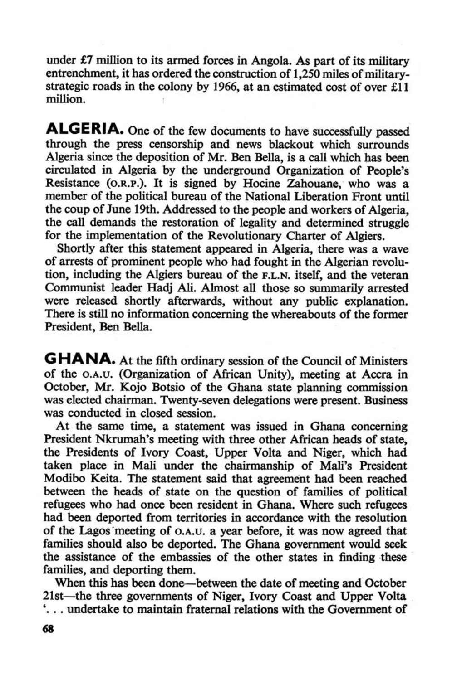Shortly after this statement appeared in Algeria, there was a wave of arrests of prominent people who had fought in the Algerian revolu· tion, including the Algiers bureau of the F.L,N, itself, and the veteran Communist leader Hadj Ali. Almost all those so summarily arrested were released shortly afterwards, without any public explanation. There is still no information concerning the whereabouts of the former President, Ben Bella.

under  $£7$  million to its armed forces in Angola. As part of its military entrenchment, it has ordered the construction of 1,250 miles of militarystrategic roads in the colony by 1966, at an estimated cost of over £11 million.

**ALGERIA.** One of the few documents to have successfully passed through the press censorship and news blackout which surrounds Algeria since the deposition of Mr. Ben Bella, is a call which has been circulated in Algeria by the underground Organization of People's Resistance (O.R.P.). It is signed by Hocine zahouane, who was a member of the political bureau of the National Liberation Front until the coup of June 19th. Addressed to the people and workers of Algeria, the call demands the restoration of legality and determined struggle for the implementation of the Revolutionary Charter of Algiers,

When this has been done—between the date of meeting and October 21st—the three governments of Niger, Ivory Coast and Upper Volta '... undertake to maintain fraternal relations with the Government of

## 68

**GHANA.** At the fifth ordinary session of the Council of Ministers of the a,A.V. (Organization of African Unity), meeting at Accra in October, Mr. Kojo Betsio of the Ghana state planning commission was elected chairman. Twenty-seven delegations were present. Business was conducted in closed session.

At the same time, a statement was issued in Ghana concerning President Nkrumah's meeting with three other African heads of state, the Presidents of Ivory Coast, Upper Volta and Niger, which had taken place in Mali under the chairmanship of Mali's President Modibo Keita, The statement said that agreement had been reached between the heads of state on the question of families of political refugees who had once been resident in Ghana. Where such refugees had been deported from territories in accordance with the resolution of the Lagos meeting of O.A.U. a year before, it was now agreed that families should also be deported. The Ghana government would seek the assistance of the embassies of the other states in finding these families, and deporting them.